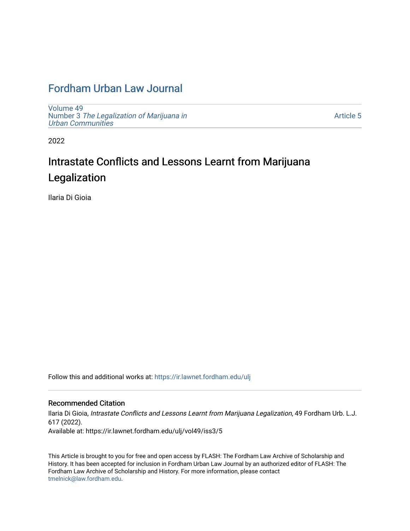## [Fordham Urban Law Journal](https://ir.lawnet.fordham.edu/ulj)

[Volume 49](https://ir.lawnet.fordham.edu/ulj/vol49) Number 3 [The Legalization of Marijuana in](https://ir.lawnet.fordham.edu/ulj/vol49/iss3)  [Urban Communities](https://ir.lawnet.fordham.edu/ulj/vol49/iss3) 

[Article 5](https://ir.lawnet.fordham.edu/ulj/vol49/iss3/5) 

2022

# Intrastate Conflicts and Lessons Learnt from Marijuana Legalization

Ilaria Di Gioia

Follow this and additional works at: [https://ir.lawnet.fordham.edu/ulj](https://ir.lawnet.fordham.edu/ulj?utm_source=ir.lawnet.fordham.edu%2Fulj%2Fvol49%2Fiss3%2F5&utm_medium=PDF&utm_campaign=PDFCoverPages) 

#### Recommended Citation

Ilaria Di Gioia, Intrastate Conflicts and Lessons Learnt from Marijuana Legalization, 49 Fordham Urb. L.J. 617 (2022). Available at: https://ir.lawnet.fordham.edu/ulj/vol49/iss3/5

This Article is brought to you for free and open access by FLASH: The Fordham Law Archive of Scholarship and History. It has been accepted for inclusion in Fordham Urban Law Journal by an authorized editor of FLASH: The Fordham Law Archive of Scholarship and History. For more information, please contact [tmelnick@law.fordham.edu](mailto:tmelnick@law.fordham.edu).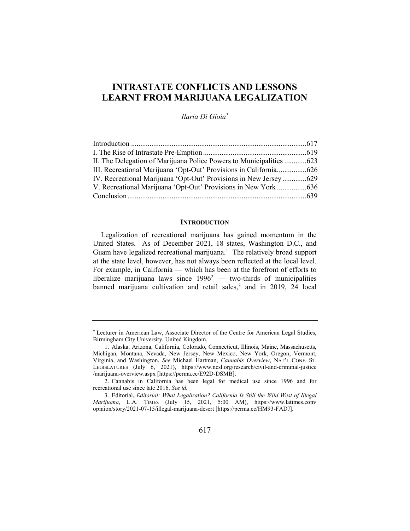### INTRASTATE CONFLICTS AND LESSONS LEARNT FROM MARIJUANA LEGALIZATION

Ilaria Di Gioia\*

| II. The Delegation of Marijuana Police Powers to Municipalities  623 |
|----------------------------------------------------------------------|
| III. Recreational Marijuana 'Opt-Out' Provisions in California626    |
| IV. Recreational Marijuana 'Opt-Out' Provisions in New Jersey629     |
| V. Recreational Marijuana 'Opt-Out' Provisions in New York 636       |
|                                                                      |
|                                                                      |

#### **INTRODUCTION**

Legalization of recreational marijuana has gained momentum in the United States. As of December 2021, 18 states, Washington D.C., and Guam have legalized recreational marijuana.<sup>1</sup> The relatively broad support at the state level, however, has not always been reflected at the local level. For example, in California — which has been at the forefront of efforts to liberalize marijuana laws since  $1996^2$  — two-thirds of municipalities banned marijuana cultivation and retail sales,<sup>3</sup> and in 2019, 24 local

<sup>\*</sup> Lecturer in American Law, Associate Director of the Centre for American Legal Studies, Birmingham City University, United Kingdom.

 <sup>1.</sup> Alaska, Arizona, California, Colorado, Connecticut, Illinois, Maine, Massachusetts, Michigan, Montana, Nevada, New Jersey, New Mexico, New York, Oregon, Vermont, Virginia, and Washington. See Michael Hartman, Cannabis Overview, NAT'L CONF. ST. LEGISLATURES (July 6, 2021), https://www.ncsl.org/research/civil-and-criminal-justice /marijuana-overview.aspx [https://perma.cc/E92D-DSMB].

 <sup>2.</sup> Cannabis in California has been legal for medical use since 1996 and for recreational use since late 2016. See id.

 <sup>3.</sup> Editorial, Editorial: What Legalization? California Is Still the Wild West of Illegal Marijuana, L.A. TIMES (July 15, 2021, 5:00 AM), https://www.latimes.com/ opinion/story/2021-07-15/illegal-marijuana-desert [https://perma.cc/HM93-FADJ].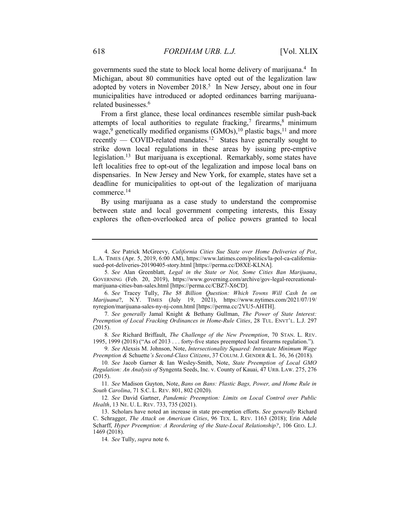governments sued the state to block local home delivery of marijuana.<sup>4</sup> In Michigan, about 80 communities have opted out of the legalization law adopted by voters in November 2018.<sup>5</sup> In New Jersey, about one in four municipalities have introduced or adopted ordinances barring marijuanarelated businesses.<sup>6</sup>

From a first glance, these local ordinances resemble similar push-back attempts of local authorities to regulate fracking,<sup>7</sup> firearms,<sup>8</sup> minimum wage,<sup>9</sup> genetically modified organisms (GMOs),<sup>10</sup> plastic bags,<sup>11</sup> and more recently — COVID-related mandates.<sup>12</sup> States have generally sought to strike down local regulations in these areas by issuing pre-emptive legislation.<sup>13</sup> But marijuana is exceptional. Remarkably, some states have left localities free to opt-out of the legalization and impose local bans on dispensaries. In New Jersey and New York, for example, states have set a deadline for municipalities to opt-out of the legalization of marijuana commerce.<sup>14</sup>

By using marijuana as a case study to understand the compromise between state and local government competing interests, this Essay explores the often-overlooked area of police powers granted to local

8. See Richard Briffault, The Challenge of the New Preemption, 70 STAN. L. REV. 1995, 1999 (2018) ("As of 2013 . . . forty-five states preempted local firearms regulation.").

9. See Alexsis M. Johnson, Note, Intersectionality Squared: Intrastate Minimum Wage Preemption & Schuette's Second-Class Citizens, 37 COLUM. J. GENDER & L. 36, 36 (2018).

12. See David Gartner, Pandemic Preemption: Limits on Local Control over Public Health, 13 NE. U. L. REV. 733, 735 (2021).

<sup>4</sup>. See Patrick McGreevy, California Cities Sue State over Home Deliveries of Pot, L.A. TIMES (Apr. 5, 2019, 6:00 AM), https://www.latimes.com/politics/la-pol-ca-californiasued-pot-deliveries-20190405-story.html [https://perma.cc/D8XE-KLNA].

<sup>5</sup>. See Alan Greenblatt, Legal in the State or Not, Some Cities Ban Marijuana, GOVERNING (Feb. 20, 2019), https://www.governing.com/archive/gov-legal-recreationalmarijuana-cities-ban-sales.html [https://perma.cc/CBZ7-X6CD].

<sup>6</sup>. See Tracey Tully, The \$8 Billion Question: Which Towns Will Cash In on Marijuana?, N.Y. TIMES (July 19, 2021), https://www.nytimes.com/2021/07/19/ nyregion/marijuana-sales-ny-nj-conn.html [https://perma.cc/2VU5-AHTH].

<sup>7</sup>. See generally Jamal Knight & Bethany Gullman, The Power of State Interest: Preemption of Local Fracking Ordinances in Home-Rule Cities, 28 TUL. ENVT'L. L.J. 297 (2015).

<sup>10</sup>. See Jacob Garner & Ian Wesley-Smith, Note, State Preemption of Local GMO Regulation: An Analysis of Syngenta Seeds, Inc. v. County of Kauai, 47 URB. LAW. 275, 276 (2015).

<sup>11</sup>. See Madison Guyton, Note, Bans on Bans: Plastic Bags, Power, and Home Rule in South Carolina, 71 S.C. L. REV. 801, 802 (2020).

 <sup>13.</sup> Scholars have noted an increase in state pre-emption efforts. See generally Richard C. Schragger, The Attack on American Cities, 96 TEX. L. REV. 1163 (2018); Erin Adele Scharff, Hyper Preemption: A Reordering of the State-Local Relationship?, 106 GEO. L.J. 1469 (2018).

<sup>14</sup>. See Tully, supra note 6.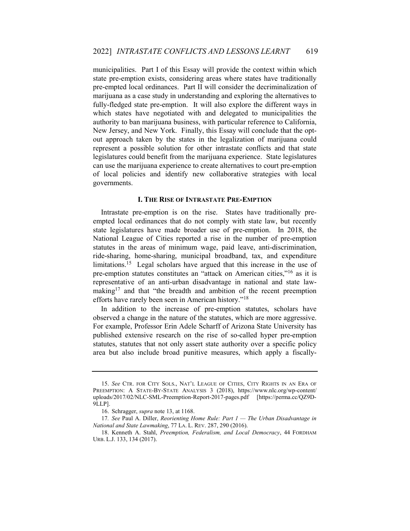municipalities. Part I of this Essay will provide the context within which state pre-emption exists, considering areas where states have traditionally pre-empted local ordinances. Part II will consider the decriminalization of marijuana as a case study in understanding and exploring the alternatives to fully-fledged state pre-emption. It will also explore the different ways in which states have negotiated with and delegated to municipalities the authority to ban marijuana business, with particular reference to California, New Jersey, and New York. Finally, this Essay will conclude that the optout approach taken by the states in the legalization of marijuana could represent a possible solution for other intrastate conflicts and that state legislatures could benefit from the marijuana experience. State legislatures can use the marijuana experience to create alternatives to court pre-emption of local policies and identify new collaborative strategies with local governments.

#### I. THE RISE OF INTRASTATE PRE-EMPTION

Intrastate pre-emption is on the rise. States have traditionally preempted local ordinances that do not comply with state law, but recently state legislatures have made broader use of pre-emption. In 2018, the National League of Cities reported a rise in the number of pre-emption statutes in the areas of minimum wage, paid leave, anti-discrimination, ride-sharing, home-sharing, municipal broadband, tax, and expenditure limitations.<sup>15</sup> Legal scholars have argued that this increase in the use of pre-emption statutes constitutes an "attack on American cities,"<sup>16</sup> as it is representative of an anti-urban disadvantage in national and state lawmaking<sup>17</sup> and that "the breadth and ambition of the recent preemption efforts have rarely been seen in American history."<sup>18</sup>

In addition to the increase of pre-emption statutes, scholars have observed a change in the nature of the statutes, which are more aggressive. For example, Professor Erin Adele Scharff of Arizona State University has published extensive research on the rise of so-called hyper pre-emption statutes, statutes that not only assert state authority over a specific policy area but also include broad punitive measures, which apply a fiscally-

 <sup>15.</sup> See CTR. FOR CITY SOLS., NAT'L LEAGUE OF CITIES, CITY RIGHTS IN AN ERA OF PREEMPTION: A STATE-BY-STATE ANALYSIS 3 (2018), https://www.nlc.org/wp-content/ uploads/2017/02/NLC-SML-Preemption-Report-2017-pages.pdf [https://perma.cc/QZ9D-9LLP].

 <sup>16.</sup> Schragger, supra note 13, at 1168.

<sup>17.</sup> See Paul A. Diller, Reorienting Home Rule: Part  $1$  — The Urban Disadvantage in National and State Lawmaking, 77 LA. L. REV. 287, 290 (2016).

 <sup>18.</sup> Kenneth A. Stahl, Preemption, Federalism, and Local Democracy, 44 FORDHAM URB. L.J. 133, 134 (2017).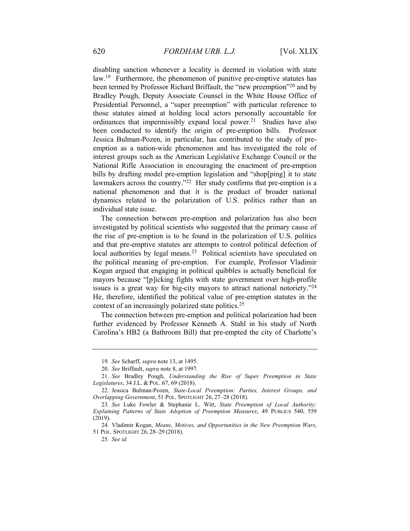disabling sanction whenever a locality is deemed in violation with state law.<sup>19</sup> Furthermore, the phenomenon of punitive pre-emptive statutes has been termed by Professor Richard Briffault, the "new preemption"<sup>20</sup> and by Bradley Pough, Deputy Associate Counsel in the White House Office of Presidential Personnel, a "super preemption" with particular reference to those statutes aimed at holding local actors personally accountable for ordinances that impermissibly expand local power.<sup>21</sup> Studies have also been conducted to identify the origin of pre-emption bills. Professor Jessica Bulman-Pozen, in particular, has contributed to the study of preemption as a nation-wide phenomenon and has investigated the role of interest groups such as the American Legislative Exchange Council or the National Rifle Association in encouraging the enactment of pre-emption bills by drafting model pre-emption legislation and "shop[ping] it to state lawmakers across the country."<sup>22</sup> Her study confirms that pre-emption is a national phenomenon and that it is the product of broader national dynamics related to the polarization of U.S. politics rather than an individual state issue.

The connection between pre-emption and polarization has also been investigated by political scientists who suggested that the primary cause of the rise of pre-emption is to be found in the polarization of U.S. politics and that pre-emptive statutes are attempts to control political defection of local authorities by legal means.<sup>23</sup> Political scientists have speculated on the political meaning of pre-emption. For example, Professor Vladimir Kogan argued that engaging in political quibbles is actually beneficial for mayors because "[p]icking fights with state government over high-profile issues is a great way for big-city mayors to attract national notoriety."<sup>24</sup> He, therefore, identified the political value of pre-emption statutes in the context of an increasingly polarized state politics.<sup>25</sup>

The connection between pre-emption and political polarization had been further evidenced by Professor Kenneth A. Stahl in his study of North Carolina's HB2 (a Bathroom Bill) that pre-empted the city of Charlotte's

<sup>19</sup>. See Scharff, supra note 13, at 1495.

 <sup>20.</sup> See Briffault, supra note 8, at 1997.

 <sup>21.</sup> See Bradley Pough, Understanding the Rise of Super Preemption in State Legislatures, 34 J.L. & POL. 67, 69 (2018).

<sup>22.</sup> Jessica Bulman-Pozen, State-Local Preemption: Parties, Interest Groups, and Overlapping Government, 51 POL. SPOTLIGHT 26, 27–28 (2018).

<sup>23</sup>. See Luke Fowler & Stephanie L. Witt, State Preemption of Local Authority: Explaining Patterns of State Adoption of Preemption Measures, 49 PUBLIUS 540, 559 (2019).

 <sup>24.</sup> Vladimir Kogan, Means, Motives, and Opportunities in the New Preemption Wars, 51 POL. SPOTLIGHT 26, 28–29 (2018).

<sup>25</sup>. See id.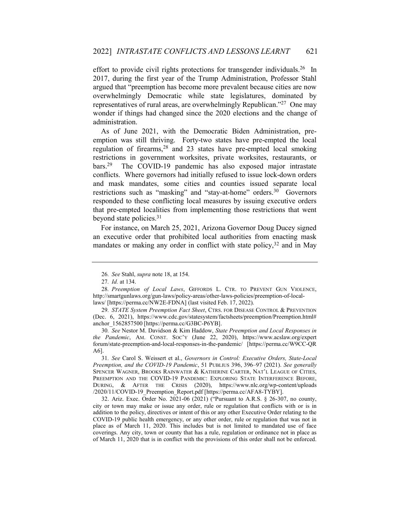effort to provide civil rights protections for transgender individuals.<sup>26</sup> In 2017, during the first year of the Trump Administration, Professor Stahl argued that "preemption has become more prevalent because cities are now overwhelmingly Democratic while state legislatures, dominated by representatives of rural areas, are overwhelmingly Republican."<sup>27</sup> One may wonder if things had changed since the 2020 elections and the change of administration.

As of June 2021, with the Democratic Biden Administration, preemption was still thriving. Forty-two states have pre-empted the local regulation of firearms,<sup>28</sup> and 23 states have pre-empted local smoking restrictions in government worksites, private worksites, restaurants, or bars.<sup>29</sup> The COVID-19 pandemic has also exposed major intrastate conflicts. Where governors had initially refused to issue lock-down orders and mask mandates, some cities and counties issued separate local restrictions such as "masking" and "stay-at-home" orders.<sup>30</sup> Governors responded to these conflicting local measures by issuing executive orders that pre-empted localities from implementing those restrictions that went beyond state policies.<sup>31</sup>

For instance, on March 25, 2021, Arizona Governor Doug Ducey signed an executive order that prohibited local authorities from enacting mask mandates or making any order in conflict with state policy,  $32$  and in May

<sup>26</sup>. See Stahl, supra note 18, at 154.

<sup>27</sup>. Id. at 134.

<sup>28</sup>. Preemption of Local Laws, GIFFORDS L. CTR. TO PREVENT GUN VIOLENCE, http://smartgunlaws.org/gun-laws/policy-areas/other-laws-policies/preemption-of-locallaws/ [https://perma.cc/NW2E-FDNA] (last visited Feb. 17, 2022).

<sup>29.</sup> STATE System Preemption Fact Sheet, CTRS. FOR DISEASE CONTROL & PREVENTION (Dec. 6, 2021), https://www.cdc.gov/statesystem/factsheets/preemption/Preemption.html# anchor\_1562857500 [https://perma.cc/G3BC-P6YB].

<sup>30</sup>. See Nestor M. Davidson & Kim Haddow, State Preemption and Local Responses in the Pandemic, AM. CONST. SOC'Y (June 22, 2020), https://www.acslaw.org/expert forum/state-preemption-and-local-responses-in-the-pandemic/ [https://perma.cc/W9CC-QR A6].

<sup>31</sup>. See Carol S. Weissert et al., Governors in Control: Executive Orders, State-Local Preemption, and the COVID-19 Pandemic, 51 PUBLIUS 396, 396–97 (2021). See generally SPENCER WAGNER, BROOKS RAINWATER & KATHERINE CARTER, NAT'L LEAGUE OF CITIES, PREEMPTION AND THE COVID-19 PANDEMIC: EXPLORING STATE INTERFERENCE BEFORE, DURING, & AFTER THE CRISIS (2020), https://www.nlc.org/wp-content/uploads /2020/11/COVID-19 Preemption Report.pdf [https://perma.cc/AFA8-TYBY].

 <sup>32.</sup> Ariz. Exec. Order No. 2021-06 (2021) ("Pursuant to A.R.S. § 26-307, no county, city or town may make or issue any order, rule or regulation that conflicts with or is in addition to the policy, directives or intent of this or any other Executive Order relating to the COVID-19 public health emergency, or any other order, rule or regulation that was not in place as of March 11, 2020. This includes but is not limited to mandated use of face coverings. Any city, town or county that has a rule, regulation or ordinance not in place as of March 11, 2020 that is in conflict with the provisions of this order shall not be enforced.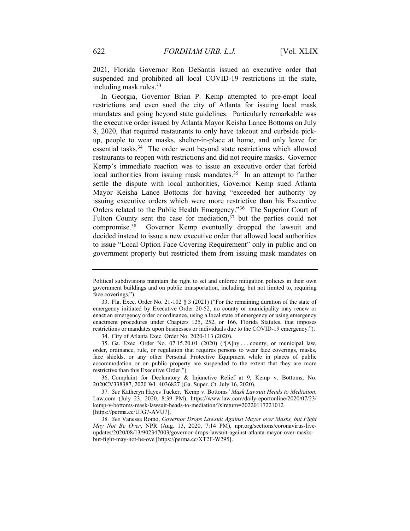2021, Florida Governor Ron DeSantis issued an executive order that suspended and prohibited all local COVID-19 restrictions in the state, including mask rules.<sup>33</sup>

In Georgia, Governor Brian P. Kemp attempted to pre-empt local restrictions and even sued the city of Atlanta for issuing local mask mandates and going beyond state guidelines. Particularly remarkable was the executive order issued by Atlanta Mayor Keisha Lance Bottoms on July 8, 2020, that required restaurants to only have takeout and curbside pickup, people to wear masks, shelter-in-place at home, and only leave for essential tasks.<sup>34</sup> The order went beyond state restrictions which allowed restaurants to reopen with restrictions and did not require masks. Governor Kemp's immediate reaction was to issue an executive order that forbid local authorities from issuing mask mandates.<sup>35</sup> In an attempt to further settle the dispute with local authorities, Governor Kemp sued Atlanta Mayor Keisha Lance Bottoms for having "exceeded her authority by issuing executive orders which were more restrictive than his Executive Orders related to the Public Health Emergency."<sup>36</sup> The Superior Court of Fulton County sent the case for mediation,  $37$  but the parties could not compromise.<sup>38</sup> Governor Kemp eventually dropped the lawsuit and decided instead to issue a new executive order that allowed local authorities to issue "Local Option Face Covering Requirement" only in public and on government property but restricted them from issuing mask mandates on

34. City of Atlanta Exec. Order No. 2020-113 (2020).

 35. Ga. Exec. Order No. 07.15.20.01 (2020) ("[A]ny . . . county, or municipal law, order, ordinance, rule, or regulation that requires persons to wear face coverings, masks, face shields, or any other Personal Protective Equipment while in places of public accommodation or on public property are suspended to the extent that they are more restrictive than this Executive Order.").

 36. Complaint for Declaratory & Injunctive Relief at 9, Kemp v. Bottoms, No. 2020CV338387, 2020 WL 4036827 (Ga. Super. Ct. July 16, 2020).

Political subdivisions maintain the right to set and enforce mitigation policies in their own government buildings and on public transportation, including, but not limited to, requiring face coverings.").

 <sup>33.</sup> Fla. Exec. Order No. 21-102 § 3 (2021) ("For the remaining duration of the state of emergency initiated by Executive Order 20-52, no county or municipality may renew or enact an emergency order or ordinance, using a local state of emergency or using emergency enactment procedures under Chapters 125, 252, or 166, Florida Statutes, that imposes restrictions or mandates upon businesses or individuals due to the COVID-19 emergency.").

<sup>37</sup>. See Katheryn Hayes Tucker, 'Kemp v. Bottoms' Mask Lawsuit Heads to Mediation, Law.com (July 23, 2020, 8:39 PM), https://www.law.com/dailyreportonline/2020/07/23/ kemp-v-bottoms-mask-lawsuit-heads-to-mediation/?slreturn=20220117221012 [https://perma.cc/UJG7-AVU7].

<sup>38</sup>. See Vanessa Romo, Governor Drops Lawsuit Against Mayor over Masks, but Fight May Not Be Over, NPR (Aug. 13, 2020, 7:14 PM), npr.org/sections/coronavirus-liveupdates/2020/08/13/902347003/governor-drops-lawsuit-against-atlanta-mayor-over-masksbut-fight-may-not-be-ove [https://perma.cc/XT2F-W295].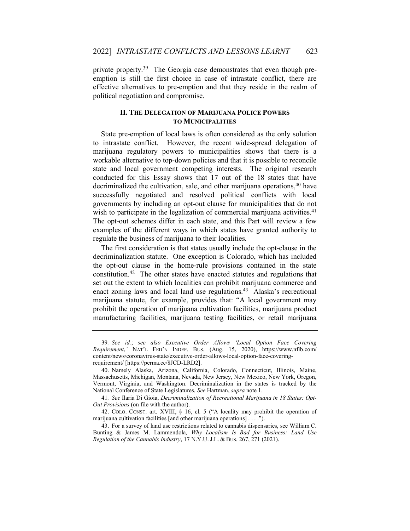private property.<sup>39</sup> The Georgia case demonstrates that even though preemption is still the first choice in case of intrastate conflict, there are effective alternatives to pre-emption and that they reside in the realm of political negotiation and compromise.

#### II. THE DELEGATION OF MARIJUANA POLICE POWERS TO MUNICIPALITIES

State pre-emption of local laws is often considered as the only solution to intrastate conflict. However, the recent wide-spread delegation of marijuana regulatory powers to municipalities shows that there is a workable alternative to top-down policies and that it is possible to reconcile state and local government competing interests. The original research conducted for this Essay shows that 17 out of the 18 states that have decriminalized the cultivation, sale, and other marijuana operations,<sup>40</sup> have successfully negotiated and resolved political conflicts with local governments by including an opt-out clause for municipalities that do not wish to participate in the legalization of commercial marijuana activities.<sup>41</sup> The opt-out schemes differ in each state, and this Part will review a few examples of the different ways in which states have granted authority to regulate the business of marijuana to their localities.

The first consideration is that states usually include the opt-clause in the decriminalization statute. One exception is Colorado, which has included the opt-out clause in the home-rule provisions contained in the state constitution.<sup>42</sup> The other states have enacted statutes and regulations that set out the extent to which localities can prohibit marijuana commerce and enact zoning laws and local land use regulations.<sup>43</sup> Alaska's recreational marijuana statute, for example, provides that: "A local government may prohibit the operation of marijuana cultivation facilities, marijuana product manufacturing facilities, marijuana testing facilities, or retail marijuana

<sup>39</sup>. See id.; see also Executive Order Allows 'Local Option Face Covering Requirement,' NAT'L FED'N INDEP. BUS. (Aug. 15, 2020), https://www.nfib.com/ content/news/coronavirus-state/executive-order-allows-local-option-face-coveringrequirement/ [https://perma.cc/8JCD-LRD2].

 <sup>40.</sup> Namely Alaska, Arizona, California, Colorado, Connecticut, Illinois, Maine, Massachusetts, Michigan, Montana, Nevada, New Jersey, New Mexico, New York, Oregon, Vermont, Virginia, and Washington. Decriminalization in the states is tracked by the National Conference of State Legislatures. See Hartman, supra note 1.

<sup>41</sup>. See Ilaria Di Gioia, Decriminalization of Recreational Marijuana in 18 States: Opt-Out Provisions (on file with the author).

 <sup>42.</sup> COLO. CONST. art. XVIII, § 16, cl. 5 ("A locality may prohibit the operation of marijuana cultivation facilities [and other marijuana operations] . . . .").

 <sup>43.</sup> For a survey of land use restrictions related to cannabis dispensaries, see William C. Bunting & James M. Lammendola, Why Localism Is Bad for Business: Land Use Regulation of the Cannabis Industry, 17 N.Y.U. J.L. & BUS. 267, 271 (2021).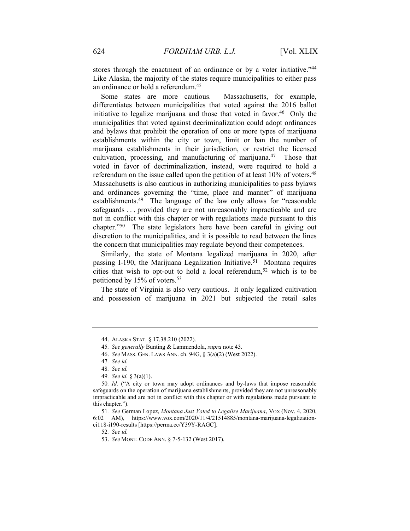stores through the enactment of an ordinance or by a voter initiative."44 Like Alaska, the majority of the states require municipalities to either pass an ordinance or hold a referendum.<sup>45</sup>

Some states are more cautious. Massachusetts, for example, differentiates between municipalities that voted against the 2016 ballot initiative to legalize marijuana and those that voted in favor.<sup>46</sup> Only the municipalities that voted against decriminalization could adopt ordinances and bylaws that prohibit the operation of one or more types of marijuana establishments within the city or town, limit or ban the number of marijuana establishments in their jurisdiction, or restrict the licensed cultivation, processing, and manufacturing of marijuana.<sup>47</sup> Those that voted in favor of decriminalization, instead, were required to hold a referendum on the issue called upon the petition of at least 10% of voters.<sup>48</sup> Massachusetts is also cautious in authorizing municipalities to pass bylaws and ordinances governing the "time, place and manner" of marijuana establishments.<sup>49</sup> The language of the law only allows for "reasonable safeguards . . . provided they are not unreasonably impracticable and are not in conflict with this chapter or with regulations made pursuant to this chapter."<sup>50</sup> The state legislators here have been careful in giving out discretion to the municipalities, and it is possible to read between the lines the concern that municipalities may regulate beyond their competences.

Similarly, the state of Montana legalized marijuana in 2020, after passing I-190, the Marijuana Legalization Initiative.<sup>51</sup> Montana requires cities that wish to opt-out to hold a local referendum,<sup>52</sup> which is to be petitioned by 15% of voters.<sup>53</sup>

The state of Virginia is also very cautious. It only legalized cultivation and possession of marijuana in 2021 but subjected the retail sales

52. See id.

 <sup>44.</sup> ALASKA STAT. § 17.38.210 (2022).

<sup>45.</sup> See generally Bunting & Lammendola, supra note 43.

 <sup>46.</sup> See MASS. GEN. LAWS ANN. ch. 94G, § 3(a)(2) (West 2022).

<sup>47</sup>. See id.

<sup>48</sup>. See id.

<sup>49</sup>. See id. § 3(a)(1).

<sup>50</sup>. Id. ("A city or town may adopt ordinances and by-laws that impose reasonable safeguards on the operation of marijuana establishments, provided they are not unreasonably impracticable and are not in conflict with this chapter or with regulations made pursuant to this chapter.").

<sup>51</sup>. See German Lopez, Montana Just Voted to Legalize Marijuana, VOX (Nov. 4, 2020, 6:02 AM), https://www.vox.com/2020/11/4/21514885/montana-marijuana-legalizationci118-i190-results [https://perma.cc/Y39Y-RAGC].

 <sup>53.</sup> See MONT. CODE ANN. § 7-5-132 (West 2017).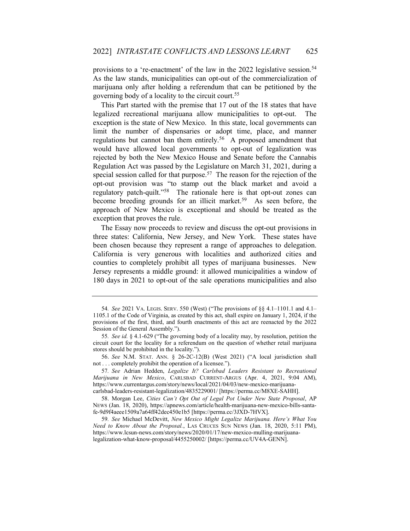provisions to a 're-enactment' of the law in the 2022 legislative session.<sup>54</sup> As the law stands, municipalities can opt-out of the commercialization of marijuana only after holding a referendum that can be petitioned by the governing body of a locality to the circuit court.<sup>55</sup>

This Part started with the premise that 17 out of the 18 states that have legalized recreational marijuana allow municipalities to opt-out. The exception is the state of New Mexico. In this state, local governments can limit the number of dispensaries or adopt time, place, and manner regulations but cannot ban them entirely.<sup>56</sup> A proposed amendment that would have allowed local governments to opt-out of legalization was rejected by both the New Mexico House and Senate before the Cannabis Regulation Act was passed by the Legislature on March 31, 2021, during a special session called for that purpose.<sup>57</sup> The reason for the rejection of the opt-out provision was "to stamp out the black market and avoid a regulatory patch-quilt."<sup>58</sup> The rationale here is that opt-out zones can become breeding grounds for an illicit market.<sup>59</sup> As seen before, the approach of New Mexico is exceptional and should be treated as the exception that proves the rule.

The Essay now proceeds to review and discuss the opt-out provisions in three states: California, New Jersey, and New York. These states have been chosen because they represent a range of approaches to delegation. California is very generous with localities and authorized cities and counties to completely prohibit all types of marijuana businesses. New Jersey represents a middle ground: it allowed municipalities a window of 180 days in 2021 to opt-out of the sale operations municipalities and also

<sup>54</sup>. See 2021 VA. LEGIS. SERV. 550 (West) ("The provisions of §§ 4.1–1101.1 and 4.1– 1105.1 of the Code of Virginia, as created by this act, shall expire on January 1, 2024, if the provisions of the first, third, and fourth enactments of this act are reenacted by the 2022 Session of the General Assembly.").

<sup>55</sup>. See id. § 4.1-629 ("The governing body of a locality may, by resolution, petition the circuit court for the locality for a referendum on the question of whether retail marijuana stores should be prohibited in the locality.").

 <sup>56.</sup> See N.M. STAT. ANN. § 26-2C-12(B) (West 2021) ("A local jurisdiction shall not . . . completely prohibit the operation of a licensee.").

<sup>57.</sup> See Adrian Hedden, Legalize It? Carlsbad Leaders Resistant to Recreational Marijuana in New Mexico, CARLSBAD CURRENT-ARGUS (Apr. 4, 2021, 9:04 AM), https://www.currentargus.com/story/news/local/2021/04/03/new-mexico-marijuanacarlsbad-leaders-resistant-legalization/4835229001/ [https://perma.cc/M8XE-SAHH].

 <sup>58.</sup> Morgan Lee, Cities Can't Opt Out of Legal Pot Under New State Proposal, AP NEWS (Jan. 18, 2020), https://apnews.com/article/health-marijuana-new-mexico-bills-santafe-9d9f4aeee1509a7a64ff42dec450e1b5 [https://perma.cc/3JXD-7HVX].

<sup>59</sup>. See Michael McDevitt, New Mexico Might Legalize Marijuana. Here's What You Need to Know About the Proposal., LAS CRUCES SUN NEWS (Jan. 18, 2020, 5:11 PM), https://www.lcsun-news.com/story/news/2020/01/17/new-mexico-mulling-marijuanalegalization-what-know-proposal/4455250002/ [https://perma.cc/UV4A-GENN].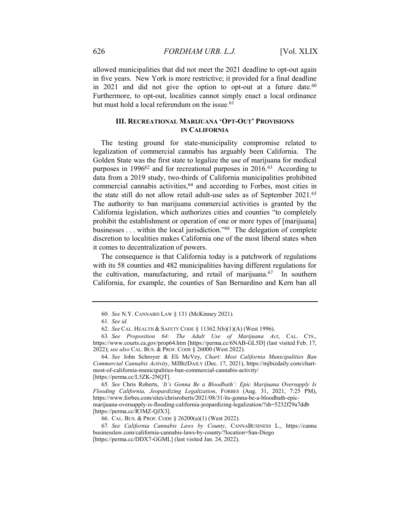allowed municipalities that did not meet the 2021 deadline to opt-out again in five years. New York is more restrictive; it provided for a final deadline in 2021 and did not give the option to opt-out at a future date.<sup>60</sup> Furthermore, to opt-out, localities cannot simply enact a local ordinance but must hold a local referendum on the issue. $61$ 

#### III. RECREATIONAL MARIJUANA 'OPT-OUT' PROVISIONS IN CALIFORNIA

The testing ground for state-municipality compromise related to legalization of commercial cannabis has arguably been California. The Golden State was the first state to legalize the use of marijuana for medical purposes in 1996<sup>62</sup> and for recreational purposes in 2016.<sup>63</sup> According to data from a 2019 study, two-thirds of California municipalities prohibited commercial cannabis activities,<sup>64</sup> and according to Forbes, most cities in the state still do not allow retail adult-use sales as of September 2021.<sup>65</sup> The authority to ban marijuana commercial activities is granted by the California legislation, which authorizes cities and counties "to completely prohibit the establishment or operation of one or more types of [marijuana] businesses . . . within the local jurisdiction."<sup>66</sup> The delegation of complete discretion to localities makes California one of the most liberal states when it comes to decentralization of powers.

The consequence is that California today is a patchwork of regulations with its 58 counties and 482 municipalities having different regulations for the cultivation, manufacturing, and retail of marijuana. $67$  In southern California, for example, the counties of San Bernardino and Kern ban all

 <sup>60.</sup> See N.Y. CANNABIS LAW § 131 (McKinney 2021).

<sup>61</sup>. See id.

 <sup>62.</sup> See CAL. HEALTH & SAFETY CODE § 11362.5(b)(1)(A) (West 1996).

<sup>63</sup>. See Proposition 64: The Adult Use of Marijuana Act, CAL. CTS., https://www.courts.ca.gov/prop64.htm [https://perma.cc/6NAB-GL5D] (last visited Feb. 17, 2022); see also CAL. BUS. & PROF. CODE § 26000 (West 2022).

 <sup>64.</sup> See John Schroyer & Eli McVey, Chart: Most California Municipalities Ban Commercial Cannabis Activity, MJBIZDAILY (Dec. 17, 2021), https://mjbizdaily.com/chartmost-of-california-municipalities-ban-commercial-cannabis-activity/ [https://perma.cc/L5ZK-2NQT].

<sup>65</sup>. See Chris Roberts, 'It's Gonna Be a Bloodbath': Epic Marijuana Oversupply Is Flooding California, Jeopardizing Legalization, FORBES (Aug. 31, 2021, 7:25 PM), https://www.forbes.com/sites/chrisroberts/2021/08/31/its-gonna-be-a-bloodbath-epicmarijuana-oversupply-is-flooding-california-jeopardizing-legalization/?sh=5232f29a7ddb [https://perma.cc/R3MZ-QJX3].

 <sup>66.</sup> CAL. BUS. & PROF. CODE § 26200(a)(1) (West 2022).

<sup>67</sup>. See California Cannabis Laws by County, CANNABUSINESS L., https://canna businesslaw.com/california-cannabis-laws-by-county/?location=San-Diego [https://perma.cc/DDX7-GGML] (last visited Jan. 24, 2022).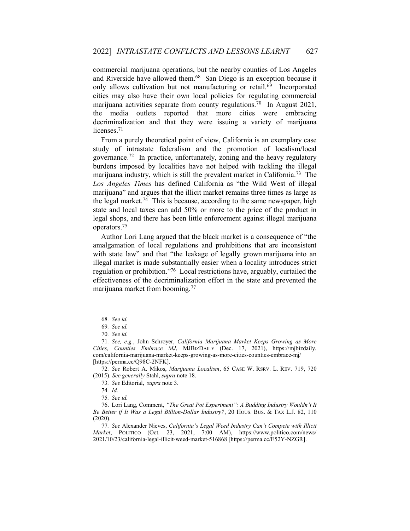commercial marijuana operations, but the nearby counties of Los Angeles and Riverside have allowed them.<sup>68</sup> San Diego is an exception because it only allows cultivation but not manufacturing or retail.<sup>69</sup> Incorporated cities may also have their own local policies for regulating commercial marijuana activities separate from county regulations.<sup>70</sup> In August 2021, the media outlets reported that more cities were embracing decriminalization and that they were issuing a variety of marijuana licenses.<sup>71</sup>

From a purely theoretical point of view, California is an exemplary case study of intrastate federalism and the promotion of localism/local governance.<sup>72</sup> In practice, unfortunately, zoning and the heavy regulatory burdens imposed by localities have not helped with tackling the illegal marijuana industry, which is still the prevalent market in California.<sup>73</sup> The Los Angeles Times has defined California as "the Wild West of illegal marijuana" and argues that the illicit market remains three times as large as the legal market.<sup>74</sup> This is because, according to the same newspaper, high state and local taxes can add 50% or more to the price of the product in legal shops, and there has been little enforcement against illegal marijuana operators.<sup>75</sup>

Author Lori Lang argued that the black market is a consequence of "the amalgamation of local regulations and prohibitions that are inconsistent with state law" and that "the leakage of legally grown marijuana into an illegal market is made substantially easier when a locality introduces strict regulation or prohibition."<sup>76</sup> Local restrictions have, arguably, curtailed the effectiveness of the decriminalization effort in the state and prevented the marijuana market from booming.<sup>77</sup>

72. See Robert A. Mikos, Marijuana Localism, 65 CASE W. RSRV. L. REV. 719, 720 (2015). See generally Stahl, supra note 18.

73. See Editorial, supra note 3.

74. Id.

75. See id.

 76. Lori Lang, Comment, "The Great Pot Experiment": A Budding Industry Wouldn't It Be Better if It Was a Legal Billion-Dollar Industry?, 20 HOUS. BUS. & TAX L.J. 82, 110 (2020).

77. See Alexander Nieves, California's Legal Weed Industry Can't Compete with Illicit Market, POLITICO (Oct. 23, 2021, 7:00 AM), https://www.politico.com/news/ 2021/10/23/california-legal-illicit-weed-market-516868 [https://perma.cc/E52Y-NZGR].

<sup>68</sup>. See id.

<sup>69</sup>. See id.

<sup>70</sup>. See id.

<sup>71</sup>. See, e.g., John Schroyer, California Marijuana Market Keeps Growing as More Cities, Counties Embrace MJ, MJBIZDAILY (Dec. 17, 2021), https://mjbizdaily. com/california-marijuana-market-keeps-growing-as-more-cities-counties-embrace-mj/ [https://perma.cc/Q98C-2NFK].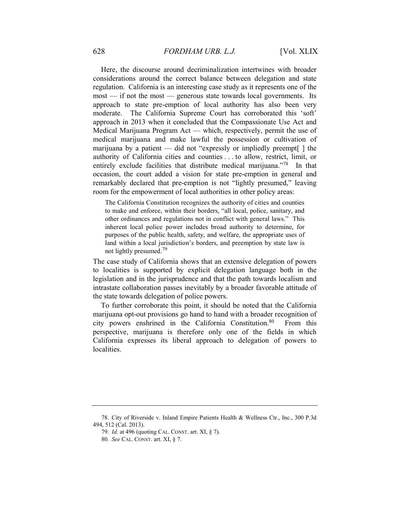Here, the discourse around decriminalization intertwines with broader considerations around the correct balance between delegation and state regulation. California is an interesting case study as it represents one of the most — if not the most — generous state towards local governments. Its approach to state pre-emption of local authority has also been very moderate. The California Supreme Court has corroborated this 'soft' approach in 2013 when it concluded that the Compassionate Use Act and Medical Marijuana Program Act — which, respectively, permit the use of medical marijuana and make lawful the possession or cultivation of marijuana by a patient — did not "expressly or impliedly preempt[ ] the authority of California cities and counties . . . to allow, restrict, limit, or entirely exclude facilities that distribute medical marijuana."<sup>78</sup> In that occasion, the court added a vision for state pre-emption in general and remarkably declared that pre-emption is not "lightly presumed," leaving room for the empowerment of local authorities in other policy areas:

The California Constitution recognizes the authority of cities and counties to make and enforce, within their borders, "all local, police, sanitary, and other ordinances and regulations not in conflict with general laws." This inherent local police power includes broad authority to determine, for purposes of the public health, safety, and welfare, the appropriate uses of land within a local jurisdiction's borders, and preemption by state law is not lightly presumed.<sup>79</sup>

The case study of California shows that an extensive delegation of powers to localities is supported by explicit delegation language both in the legislation and in the jurisprudence and that the path towards localism and intrastate collaboration passes inevitably by a broader favorable attitude of the state towards delegation of police powers.

To further corroborate this point, it should be noted that the California marijuana opt-out provisions go hand to hand with a broader recognition of city powers enshrined in the California Constitution.<sup>80</sup> From this perspective, marijuana is therefore only one of the fields in which California expresses its liberal approach to delegation of powers to localities.

 <sup>78.</sup> City of Riverside v. Inland Empire Patients Health & Wellness Ctr., Inc., 300 P.3d 494, 512 (Cal. 2013).

<sup>79</sup>. Id. at 496 (quoting CAL. CONST. art. XI, § 7).

<sup>80</sup>. See CAL. CONST. art. XI, § 7.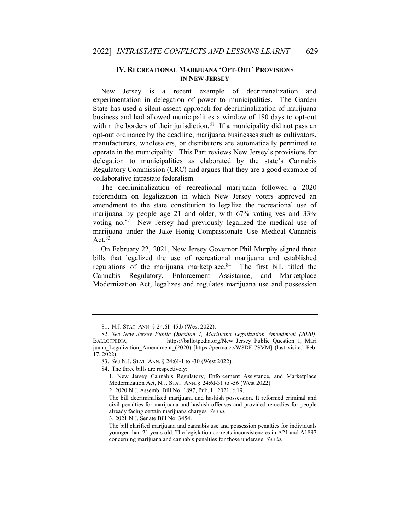#### IV. RECREATIONAL MARIJUANA 'OPT-OUT' PROVISIONS IN NEW JERSEY

New Jersey is a recent example of decriminalization and experimentation in delegation of power to municipalities. The Garden State has used a silent-assent approach for decriminalization of marijuana business and had allowed municipalities a window of 180 days to opt-out within the borders of their jurisdiction.<sup>81</sup> If a municipality did not pass an opt-out ordinance by the deadline, marijuana businesses such as cultivators, manufacturers, wholesalers, or distributors are automatically permitted to operate in the municipality. This Part reviews New Jersey's provisions for delegation to municipalities as elaborated by the state's Cannabis Regulatory Commission (CRC) and argues that they are a good example of collaborative intrastate federalism.

The decriminalization of recreational marijuana followed a 2020 referendum on legalization in which New Jersey voters approved an amendment to the state constitution to legalize the recreational use of marijuana by people age 21 and older, with 67% voting yes and 33% voting no.<sup>82</sup> New Jersey had previously legalized the medical use of marijuana under the Jake Honig Compassionate Use Medical Cannabis Act.<sup>83</sup>

On February 22, 2021, New Jersey Governor Phil Murphy signed three bills that legalized the use of recreational marijuana and established regulations of the marijuana marketplace. $84$  The first bill, titled the Cannabis Regulatory, Enforcement Assistance, and Marketplace Modernization Act, legalizes and regulates marijuana use and possession

3. 2021 N.J. Senate Bill No. 3454.

 <sup>81.</sup> N.J. STAT. ANN. § 24:6I–45.b (West 2022).

<sup>82</sup>. See New Jersey Public Question 1, Marijuana Legalization Amendment (2020), BALLOTPEDIA, https://ballotpedia.org/New Jersey Public Question 1, Mari juana Legalization Amendment (2020) [https://perma.cc<sup>/</sup>W8DF-7SVM] (last visited Feb. 17, 2022).

 <sup>83.</sup> See N.J. STAT. ANN. § 24:6I-1 to -30 (West 2022).

 <sup>84.</sup> The three bills are respectively:

<sup>1.</sup> New Jersey Cannabis Regulatory, Enforcement Assistance, and Marketplace Modernization Act, N.J. STAT. ANN. § 24:6I-31 to -56 (West 2022).

<sup>2. 2020</sup> N.J. Assemb. Bill No. 1897, Pub. L. 2021, c.19.

The bill decriminalized marijuana and hashish possession. It reformed criminal and civil penalties for marijuana and hashish offenses and provided remedies for people already facing certain marijuana charges. See id.

The bill clarified marijuana and cannabis use and possession penalties for individuals younger than 21 years old. The legislation corrects inconsistencies in A21 and A1897 concerning marijuana and cannabis penalties for those underage. See id.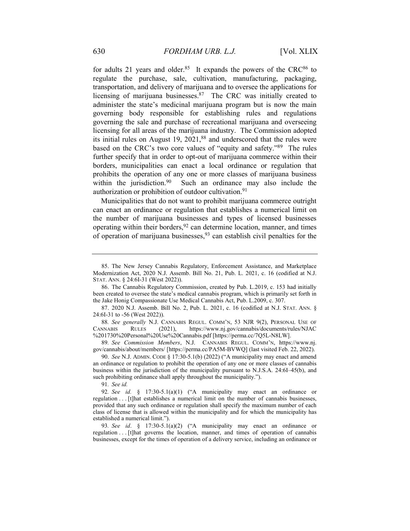for adults 21 years and older.<sup>85</sup> It expands the powers of the CRC $^{86}$  to regulate the purchase, sale, cultivation, manufacturing, packaging, transportation, and delivery of marijuana and to oversee the applications for licensing of marijuana businesses.<sup>87</sup> The CRC was initially created to administer the state's medicinal marijuana program but is now the main governing body responsible for establishing rules and regulations governing the sale and purchase of recreational marijuana and overseeing licensing for all areas of the marijuana industry. The Commission adopted its initial rules on August 19, 2021,<sup>88</sup> and underscored that the rules were based on the CRC's two core values of "equity and safety."<sup>89</sup> The rules further specify that in order to opt-out of marijuana commerce within their borders, municipalities can enact a local ordinance or regulation that prohibits the operation of any one or more classes of marijuana business within the jurisdiction.<sup>90</sup> Such an ordinance may also include the authorization or prohibition of outdoor cultivation.<sup>91</sup>

Municipalities that do not want to prohibit marijuana commerce outright can enact an ordinance or regulation that establishes a numerical limit on the number of marijuana businesses and types of licensed businesses operating within their borders,  $92$  can determine location, manner, and times of operation of marijuana businesses,  $93$  can establish civil penalties for the

 87. 2020 N.J. Assemb. Bill No. 2, Pub. L. 2021, c. 16 (codified at N.J. STAT. ANN. § 24:6I-31 to -56 (West 2022)).

88. See generally N.J. CANNABIS REGUL. COMM'N, 53 NJR 9(2), PERSONAL USE OF CANNABIS RULES (2021), https://www.nj.gov/cannabis/documents/rules/NJAC %201730%20Personal%20Use%20Cannabis.pdf [https://perma.cc/7Q5L-N8LW].

89. See Commission Members, N.J. CANNABIS REGUL. COMM'N, https://www.nj. gov/cannabis/about/members/ [https://perma.cc/PA5M-BVWQ] (last visited Feb. 22, 2022).

 90. See N.J. ADMIN. CODE § 17:30-5.1(b) (2022) ("A municipality may enact and amend an ordinance or regulation to prohibit the operation of any one or more classes of cannabis business within the jurisdiction of the municipality pursuant to N.J.S.A. 24:6I–45(b), and such prohibiting ordinance shall apply throughout the municipality.").

91. See id.

92. See id. § 17:30-5.1(a)(1) ("A municipality may enact an ordinance or regulation . . . [t]hat establishes a numerical limit on the number of cannabis businesses, provided that any such ordinance or regulation shall specify the maximum number of each class of license that is allowed within the municipality and for which the municipality has established a numerical limit.").

93. See id. § 17:30-5.1(a)(2) ("A municipality may enact an ordinance or regulation . . . [t]hat governs the location, manner, and times of operation of cannabis businesses, except for the times of operation of a delivery service, including an ordinance or

 <sup>85.</sup> The New Jersey Cannabis Regulatory, Enforcement Assistance, and Marketplace Modernization Act, 2020 N.J. Assemb. Bill No. 21, Pub. L. 2021, c. 16 (codified at N.J. STAT. ANN. § 24:6I-31 (West 2022)).

 <sup>86.</sup> The Cannabis Regulatory Commission, created by Pub. L.2019, c. 153 had initially been created to oversee the state's medical cannabis program, which is primarily set forth in the Jake Honig Compassionate Use Medical Cannabis Act, Pub. L.2009, c. 307.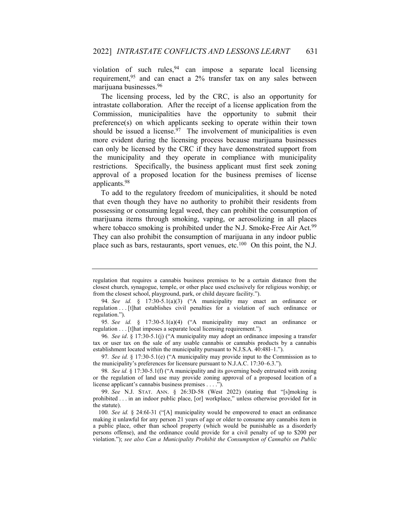violation of such rules,  $94$  can impose a separate local licensing requirement,  $95$  and can enact a 2% transfer tax on any sales between marijuana businesses.<sup>96</sup>

The licensing process, led by the CRC, is also an opportunity for intrastate collaboration. After the receipt of a license application from the Commission, municipalities have the opportunity to submit their preference(s) on which applicants seeking to operate within their town should be issued a license.<sup>97</sup> The involvement of municipalities is even more evident during the licensing process because marijuana businesses can only be licensed by the CRC if they have demonstrated support from the municipality and they operate in compliance with municipality restrictions. Specifically, the business applicant must first seek zoning approval of a proposed location for the business premises of license applicants.<sup>98</sup>

To add to the regulatory freedom of municipalities, it should be noted that even though they have no authority to prohibit their residents from possessing or consuming legal weed, they can prohibit the consumption of marijuana items through smoking, vaping, or aerosolizing in all places where tobacco smoking is prohibited under the N.J. Smoke-Free Air Act.<sup>99</sup> They can also prohibit the consumption of marijuana in any indoor public place such as bars, restaurants, sport venues, etc.<sup>100</sup> On this point, the N.J.

97. See id. § 17:30-5.1(e) ("A municipality may provide input to the Commission as to the municipality's preferences for licensure pursuant to N.J.A.C. 17:30–6.3.").

98. See id. § 17:30-5.1(f) ("A municipality and its governing body entrusted with zoning or the regulation of land use may provide zoning approval of a proposed location of a license applicant's cannabis business premises . . . .").

regulation that requires a cannabis business premises to be a certain distance from the closest church, synagogue, temple, or other place used exclusively for religious worship; or from the closest school, playground, park, or child daycare facility.").

<sup>94</sup>. See id. § 17:30-5.1(a)(3) ("A municipality may enact an ordinance or regulation . . . [t]hat establishes civil penalties for a violation of such ordinance or regulation.").

<sup>95</sup>. See id. § 17:30-5.1(a)(4) ("A municipality may enact an ordinance or regulation . . . [t]hat imposes a separate local licensing requirement.").

<sup>96</sup>. See id. § 17:30-5.1(j) ("A municipality may adopt an ordinance imposing a transfer tax or user tax on the sale of any usable cannabis or cannabis products by a cannabis establishment located within the municipality pursuant to N.J.S.A. 40:48I–1.").

 <sup>99.</sup> See N.J. STAT. ANN. § 26:3D-58 (West 2022) (stating that "[s]moking is prohibited . . . in an indoor public place, [or] workplace," unless otherwise provided for in the statute).

<sup>100</sup>. See id. § 24:6I-31 ("[A] municipality would be empowered to enact an ordinance making it unlawful for any person 21 years of age or older to consume any cannabis item in a public place, other than school property (which would be punishable as a disorderly persons offense), and the ordinance could provide for a civil penalty of up to \$200 per violation."); see also Can a Municipality Prohibit the Consumption of Cannabis on Public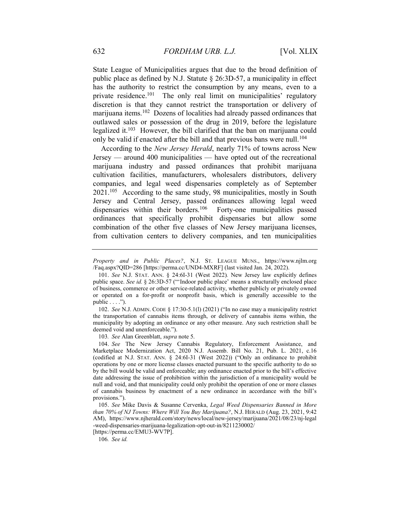State League of Municipalities argues that due to the broad definition of public place as defined by N.J. Statute § 26:3D-57, a municipality in effect has the authority to restrict the consumption by any means, even to a private residence.<sup>101</sup> The only real limit on municipalities' regulatory discretion is that they cannot restrict the transportation or delivery of marijuana items.<sup>102</sup> Dozens of localities had already passed ordinances that outlawed sales or possession of the drug in 2019, before the legislature legalized it.<sup>103</sup> However, the bill clarified that the ban on marijuana could only be valid if enacted after the bill and that previous bans were null.<sup>104</sup>

According to the New Jersey Herald, nearly 71% of towns across New Jersey — around 400 municipalities — have opted out of the recreational marijuana industry and passed ordinances that prohibit marijuana cultivation facilities, manufacturers, wholesalers distributors, delivery companies, and legal weed dispensaries completely as of September 2021.<sup>105</sup> According to the same study, 98 municipalities, mostly in South Jersey and Central Jersey, passed ordinances allowing legal weed dispensaries within their borders.<sup>106</sup> Forty-one municipalities passed ordinances that specifically prohibit dispensaries but allow some combination of the other five classes of New Jersey marijuana licenses, from cultivation centers to delivery companies, and ten municipalities

 102. See N.J. ADMIN. CODE § 17:30-5.1(l) (2021) ("In no case may a municipality restrict the transportation of cannabis items through, or delivery of cannabis items within, the municipality by adopting an ordinance or any other measure. Any such restriction shall be deemed void and unenforceable.").

103. See Alan Greenblatt, supra note 5.

 104. See The New Jersey Cannabis Regulatory, Enforcement Assistance, and Marketplace Modernization Act, 2020 N.J. Assemb. Bill No. 21, Pub. L. 2021, c.16 (codified at N.J. STAT. ANN. § 24:6I-31 (West 2022)) ("Only an ordinance to prohibit operations by one or more license classes enacted pursuant to the specific authority to do so by the bill would be valid and enforceable; any ordinance enacted prior to the bill's effective date addressing the issue of prohibition within the jurisdiction of a municipality would be null and void, and that municipality could only prohibit the operation of one or more classes of cannabis business by enactment of a new ordinance in accordance with the bill's provisions.").

 105. See Mike Davis & Susanne Cervenka, Legal Weed Dispensaries Banned in More than 70% of NJ Towns: Where Will You Buy Marijuana?, N.J. HERALD (Aug. 23, 2021, 9:42 AM), https://www.njherald.com/story/news/local/new-jersey/marijuana/2021/08/23/nj-legal -weed-dispensaries-marijuana-legalization-opt-out-in/8211230002/

[https://perma.cc/EMU3-WV7P].

106. See id.

Property and in Public Places?, N.J. ST. LEAGUE MUNS., https://www.njlm.org /Faq.aspx?QID=286 [https://perma.cc/UND4-MXRF] (last visited Jan. 24, 2022).

 <sup>101.</sup> See N.J. STAT. ANN. § 24:6I-31 (West 2022). New Jersey law explicitly defines public space. See id. § 26:3D-57 ("'Indoor public place' means a structurally enclosed place of business, commerce or other service-related activity, whether publicly or privately owned or operated on a for-profit or nonprofit basis, which is generally accessible to the public  $\dots$ .").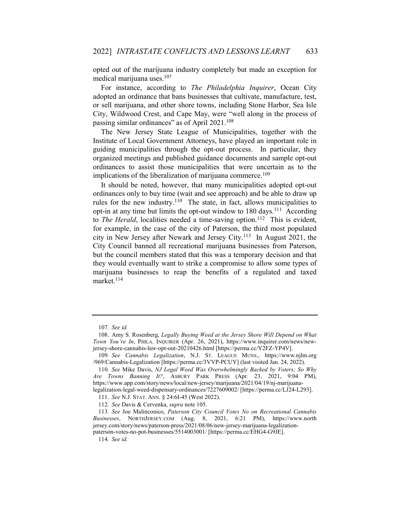opted out of the marijuana industry completely but made an exception for medical marijuana uses.<sup>107</sup>

For instance, according to The Philadelphia Inquirer, Ocean City adopted an ordinance that bans businesses that cultivate, manufacture, test, or sell marijuana, and other shore towns, including Stone Harbor, Sea Isle City, Wildwood Crest, and Cape May, were "well along in the process of passing similar ordinances" as of April 2021.<sup>108</sup>

The New Jersey State League of Municipalities, together with the Institute of Local Government Attorneys, have played an important role in guiding municipalities through the opt-out process. In particular, they organized meetings and published guidance documents and sample opt-out ordinances to assist those municipalities that were uncertain as to the implications of the liberalization of marijuana commerce.<sup>109</sup>

It should be noted, however, that many municipalities adopted opt-out ordinances only to buy time (wait and see approach) and be able to draw up rules for the new industry.<sup>110</sup> The state, in fact, allows municipalities to opt-in at any time but limits the opt-out window to 180 days.<sup>111</sup> According to *The Herald*, localities needed a time-saving option.<sup>112</sup> This is evident, for example, in the case of the city of Paterson, the third most populated city in New Jersey after Newark and Jersey City.<sup>113</sup> In August 2021, the City Council banned all recreational marijuana businesses from Paterson, but the council members stated that this was a temporary decision and that they would eventually want to strike a compromise to allow some types of marijuana businesses to reap the benefits of a regulated and taxed market.<sup>114</sup>

<sup>107</sup>. See id.

 <sup>108.</sup> Amy S. Rosenberg, Legally Buying Weed at the Jersey Shore Will Depend on What Town You're In, PHILA. INQUIRER (Apr. 26, 2021), https://www.inquirer.com/news/newjersey-shore-cannabis-law-opt-out-20210426.html [https://perma.cc/Y2FZ-YP4V].

<sup>109</sup>. See Cannabis Legalization, N.J. ST. LEAGUE MUNS., https://www.njlm.org /969/Cannabis-Legalization [https://perma.cc/3VVP-PCUY] (last visited Jan. 24, 2022).

<sup>110</sup>. See Mike Davis, NJ Legal Weed Was Overwhelmingly Backed by Voters; So Why Are Towns Banning It?, ASBURY PARK PRESS (Apr. 23, 2021, 9:04 PM), https://www.app.com/story/news/local/new-jersey/marijuana/2021/04/19/nj-marijuanalegalization-legal-weed-dispensary-ordinances/7227609002/ [https://perma.cc/LJ24-L293].

 <sup>111.</sup> See N.J. STAT. ANN. § 24:6I-45 (West 2022).

<sup>112</sup>. See Davis & Cervenka, supra note 105.

<sup>113</sup>. See Joe Malinconico, Paterson City Council Votes No on Recreational Cannabis Businesses, NORTHJERSEY.COM (Aug. 8, 2021, 6:21 PM), https://www.north jersey.com/story/news/paterson-press/2021/08/06/new-jersey-marijuana-legalization-

paterson-votes-no-pot-businesses/5514003001/ [https://perma.cc/EHG4-G9JE].

<sup>114</sup>. See id.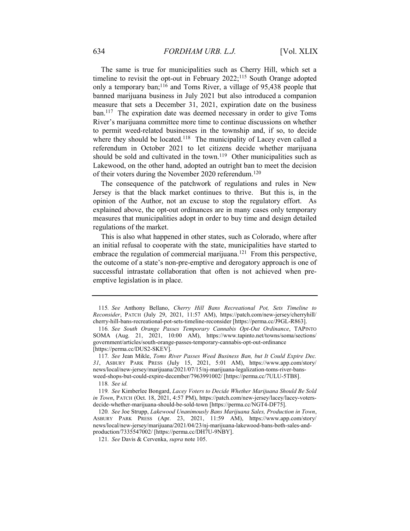The same is true for municipalities such as Cherry Hill, which set a timeline to revisit the opt-out in February 2022;<sup>115</sup> South Orange adopted only a temporary ban;<sup>116</sup> and Toms River, a village of 95,438 people that banned marijuana business in July 2021 but also introduced a companion measure that sets a December 31, 2021, expiration date on the business ban.<sup>117</sup> The expiration date was deemed necessary in order to give Toms River's marijuana committee more time to continue discussions on whether to permit weed-related businesses in the township and, if so, to decide where they should be located.<sup>118</sup> The municipality of Lacey even called a referendum in October 2021 to let citizens decide whether marijuana should be sold and cultivated in the town.<sup>119</sup> Other municipalities such as Lakewood, on the other hand, adopted an outright ban to meet the decision of their voters during the November 2020 referendum.<sup>120</sup>

The consequence of the patchwork of regulations and rules in New Jersey is that the black market continues to thrive. But this is, in the opinion of the Author, not an excuse to stop the regulatory effort. As explained above, the opt-out ordinances are in many cases only temporary measures that municipalities adopt in order to buy time and design detailed regulations of the market.

This is also what happened in other states, such as Colorado, where after an initial refusal to cooperate with the state, municipalities have started to embrace the regulation of commercial marijuana.<sup>121</sup> From this perspective, the outcome of a state's non-pre-emptive and derogatory approach is one of successful intrastate collaboration that often is not achieved when preemptive legislation is in place.

<sup>115</sup>. See Anthony Bellano, Cherry Hill Bans Recreational Pot, Sets Timeline to Reconsider, PATCH (July 29, 2021, 11:57 AM), https://patch.com/new-jersey/cherryhill/ cherry-hill-bans-recreational-pot-sets-timeline-reconsider [https://perma.cc/J9GL-R863].

<sup>116</sup>. See South Orange Passes Temporary Cannabis Opt-Out Ordinance, TAPINTO SOMA (Aug. 21, 2021, 10:00 AM), https://www.tapinto.net/towns/soma/sections/ government/articles/south-orange-passes-temporary-cannabis-opt-out-ordinance [https://perma.cc/DUS2-SKEV].

<sup>117</sup>. See Jean Mikle, Toms River Passes Weed Business Ban, but It Could Expire Dec. 31, ASBURY PARK PRESS (July 15, 2021, 5:01 AM), https://www.app.com/story/ news/local/new-jersey/marijuana/2021/07/15/nj-marijuana-legalization-toms-river-bansweed-shops-but-could-expire-december/7963991002/ [https://perma.cc/7ULU-5TB8].

<sup>118</sup>. See id.

<sup>119</sup>. See Kimberlee Bongard, Lacey Voters to Decide Whether Marijuana Should Be Sold in Town, PATCH (Oct. 18, 2021, 4:57 PM), https://patch.com/new-jersey/lacey/lacey-votersdecide-whether-marijuana-should-be-sold-town [https://perma.cc/NGT4-DF75].

<sup>120</sup>. See Joe Strupp, Lakewood Unanimously Bans Marijuana Sales, Production in Town, ASBURY PARK PRESS (Apr. 23, 2021, 11:59 AM), https://www.app.com/story/ news/local/new-jersey/marijuana/2021/04/23/nj-marijuana-lakewood-bans-both-sales-andproduction/7335547002/ [https://perma.cc/DH7U-9NBY].

<sup>121</sup>. See Davis & Cervenka, supra note 105.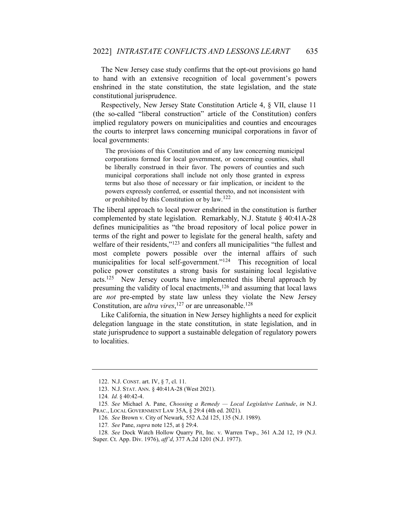The New Jersey case study confirms that the opt-out provisions go hand to hand with an extensive recognition of local government's powers enshrined in the state constitution, the state legislation, and the state constitutional jurisprudence.

Respectively, New Jersey State Constitution Article 4, § VII, clause 11 (the so-called "liberal construction" article of the Constitution) confers implied regulatory powers on municipalities and counties and encourages the courts to interpret laws concerning municipal corporations in favor of local governments:

The provisions of this Constitution and of any law concerning municipal corporations formed for local government, or concerning counties, shall be liberally construed in their favor. The powers of counties and such municipal corporations shall include not only those granted in express terms but also those of necessary or fair implication, or incident to the powers expressly conferred, or essential thereto, and not inconsistent with or prohibited by this Constitution or by law.<sup>122</sup>

The liberal approach to local power enshrined in the constitution is further complemented by state legislation. Remarkably, N.J. Statute § 40:41A-28 defines municipalities as "the broad repository of local police power in terms of the right and power to legislate for the general health, safety and welfare of their residents,"<sup>123</sup> and confers all municipalities "the fullest and most complete powers possible over the internal affairs of such municipalities for local self-government."<sup>124</sup> This recognition of local police power constitutes a strong basis for sustaining local legislative acts.<sup>125</sup> New Jersey courts have implemented this liberal approach by presuming the validity of local enactments,<sup>126</sup> and assuming that local laws are not pre-empted by state law unless they violate the New Jersey Constitution, are *ultra vires*,<sup>127</sup> or are unreasonable.<sup>128</sup>

Like California, the situation in New Jersey highlights a need for explicit delegation language in the state constitution, in state legislation, and in state jurisprudence to support a sustainable delegation of regulatory powers to localities.

 <sup>122.</sup> N.J. CONST. art. IV, § 7, cl. 11.

 <sup>123.</sup> N.J. STAT. ANN. § 40:41A-28 (West 2021).

<sup>124</sup>. Id. § 40:42-4.

<sup>125.</sup> See Michael A. Pane, Choosing a Remedy  $-$  Local Legislative Latitude, in N.J. PRAC., LOCAL GOVERNMENT LAW 35A, § 29:4 (4th ed. 2021).

<sup>126</sup>. See Brown v. City of Newark, 552 A.2d 125, 135 (N.J. 1989).

<sup>127</sup>. See Pane, supra note 125, at § 29:4.

<sup>128</sup>. See Dock Watch Hollow Quarry Pit, Inc. v. Warren Twp., 361 A.2d 12, 19 (N.J. Super. Ct. App. Div. 1976), aff'd, 377 A.2d 1201 (N.J. 1977).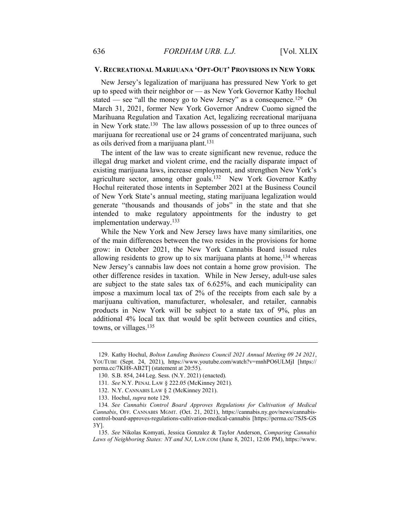#### V. RECREATIONAL MARIJUANA 'OPT-OUT' PROVISIONS IN NEW YORK

New Jersey's legalization of marijuana has pressured New York to get up to speed with their neighbor or — as New York Governor Kathy Hochul stated — see "all the money go to New Jersey" as a consequence.<sup>129</sup> On March 31, 2021, former New York Governor Andrew Cuomo signed the Marihuana Regulation and Taxation Act, legalizing recreational marijuana in New York state.<sup>130</sup> The law allows possession of up to three ounces of marijuana for recreational use or 24 grams of concentrated marijuana, such as oils derived from a marijuana plant.<sup>131</sup>

The intent of the law was to create significant new revenue, reduce the illegal drug market and violent crime, end the racially disparate impact of existing marijuana laws, increase employment, and strengthen New York's agriculture sector, among other goals.<sup>132</sup> New York Governor Kathy Hochul reiterated those intents in September 2021 at the Business Council of New York State's annual meeting, stating marijuana legalization would generate "thousands and thousands of jobs" in the state and that she intended to make regulatory appointments for the industry to get implementation underway.<sup>133</sup>

While the New York and New Jersey laws have many similarities, one of the main differences between the two resides in the provisions for home grow: in October 2021, the New York Cannabis Board issued rules allowing residents to grow up to six marijuana plants at home,  $134$  whereas New Jersey's cannabis law does not contain a home grow provision. The other difference resides in taxation. While in New Jersey, adult-use sales are subject to the state sales tax of 6.625%, and each municipality can impose a maximum local tax of 2% of the receipts from each sale by a marijuana cultivation, manufacturer, wholesaler, and retailer, cannabis products in New York will be subject to a state tax of 9%, plus an additional 4% local tax that would be split between counties and cities, towns, or villages.<sup>135</sup>

 <sup>129.</sup> Kathy Hochul, Bolton Landing Business Council 2021 Annual Meeting 09 24 2021, YOUTUBE (Sept. 24, 2021), https://www.youtube.com/watch?v=mnhPO6ULMjI [https:// perma.cc/7KH8-AB2T] (statement at 20:55).

 <sup>130.</sup> S.B. 854, 244 Leg. Sess. (N.Y. 2021) (enacted).

<sup>131</sup>. See N.Y. PENAL LAW § 222.05 (McKinney 2021).

 <sup>132.</sup> N.Y. CANNABIS LAW § 2 (McKinney 2021).

 <sup>133.</sup> Hochul, supra note 129.

<sup>134</sup>. See Cannabis Control Board Approves Regulations for Cultivation of Medical Cannabis, OFF. CANNABIS MGMT. (Oct. 21, 2021), https://cannabis.ny.gov/news/cannabiscontrol-board-approves-regulations-cultivation-medical-cannabis [https://perma.cc/7SJS-GS 3Y].

 <sup>135.</sup> See Nikolas Komyati, Jessica Gonzalez & Taylor Anderson, Comparing Cannabis Laws of Neighboring States: NY and NJ, LAW.COM (June 8, 2021, 12:06 PM), https://www.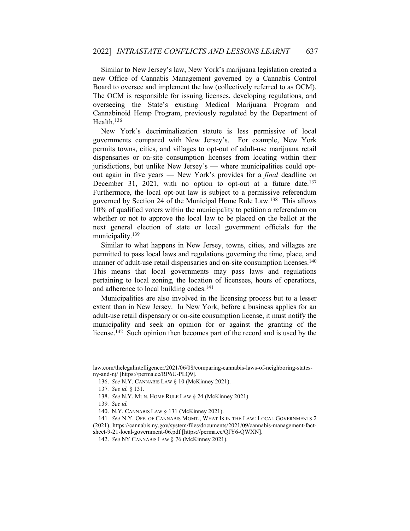Similar to New Jersey's law, New York's marijuana legislation created a new Office of Cannabis Management governed by a Cannabis Control Board to oversee and implement the law (collectively referred to as OCM). The OCM is responsible for issuing licenses, developing regulations, and overseeing the State's existing Medical Marijuana Program and Cannabinoid Hemp Program, previously regulated by the Department of Health.<sup>136</sup>

New York's decriminalization statute is less permissive of local governments compared with New Jersey's. For example, New York permits towns, cities, and villages to opt-out of adult-use marijuana retail dispensaries or on-site consumption licenses from locating within their jurisdictions, but unlike New Jersey's — where municipalities could optout again in five years — New York's provides for a *final* deadline on December 31, 2021, with no option to opt-out at a future date.<sup>137</sup> Furthermore, the local opt-out law is subject to a permissive referendum governed by Section 24 of the Municipal Home Rule Law.<sup>138</sup> This allows 10% of qualified voters within the municipality to petition a referendum on whether or not to approve the local law to be placed on the ballot at the next general election of state or local government officials for the municipality.<sup>139</sup>

Similar to what happens in New Jersey, towns, cities, and villages are permitted to pass local laws and regulations governing the time, place, and manner of adult-use retail dispensaries and on-site consumption licenses.<sup>140</sup> This means that local governments may pass laws and regulations pertaining to local zoning, the location of licensees, hours of operations, and adherence to local building codes.<sup>141</sup>

Municipalities are also involved in the licensing process but to a lesser extent than in New Jersey. In New York, before a business applies for an adult-use retail dispensary or on-site consumption license, it must notify the municipality and seek an opinion for or against the granting of the license.<sup>142</sup> Such opinion then becomes part of the record and is used by the

law.com/thelegalintelligencer/2021/06/08/comparing-cannabis-laws-of-neighboring-statesny-and-nj/ [https://perma.cc/RP6U-PLQ9].

 <sup>136.</sup> See N.Y. CANNABIS LAW § 10 (McKinney 2021).

<sup>137</sup>. See id. § 131.

 <sup>138.</sup> See N.Y. MUN. HOME RULE LAW § 24 (McKinney 2021).

<sup>139</sup>. See id.

 <sup>140.</sup> N.Y. CANNABIS LAW § 131 (McKinney 2021).

<sup>141</sup>. See N.Y. OFF. OF CANNABIS MGMT., WHAT IS IN THE LAW: LOCAL GOVERNMENTS 2 (2021), https://cannabis.ny.gov/system/files/documents/2021/09/cannabis-management-fact-

sheet-9-21-local-government-06.pdf [https://perma.cc/QJY6-QWXN].

 <sup>142.</sup> See NY CANNABIS LAW § 76 (McKinney 2021).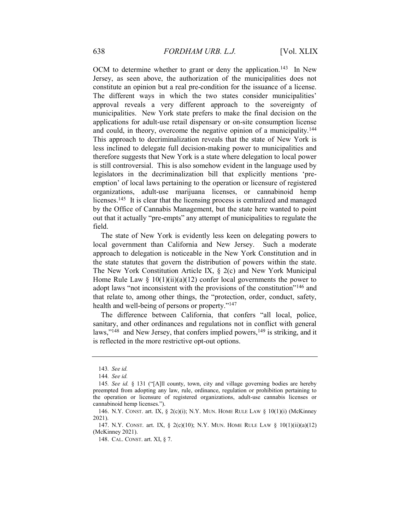OCM to determine whether to grant or deny the application.<sup>143</sup> In New Jersey, as seen above, the authorization of the municipalities does not constitute an opinion but a real pre-condition for the issuance of a license. The different ways in which the two states consider municipalities' approval reveals a very different approach to the sovereignty of municipalities. New York state prefers to make the final decision on the applications for adult-use retail dispensary or on-site consumption license and could, in theory, overcome the negative opinion of a municipality.<sup>144</sup> This approach to decriminalization reveals that the state of New York is less inclined to delegate full decision-making power to municipalities and therefore suggests that New York is a state where delegation to local power is still controversial. This is also somehow evident in the language used by legislators in the decriminalization bill that explicitly mentions 'preemption' of local laws pertaining to the operation or licensure of registered organizations, adult-use marijuana licenses, or cannabinoid hemp licenses.<sup>145</sup> It is clear that the licensing process is centralized and managed by the Office of Cannabis Management, but the state here wanted to point out that it actually "pre-empts" any attempt of municipalities to regulate the field.

The state of New York is evidently less keen on delegating powers to local government than California and New Jersey. Such a moderate approach to delegation is noticeable in the New York Constitution and in the state statutes that govern the distribution of powers within the state. The New York Constitution Article IX, § 2(c) and New York Municipal Home Rule Law  $\S 10(1)(ii)(a)(12)$  confer local governments the power to adopt laws "not inconsistent with the provisions of the constitution"<sup>146</sup> and that relate to, among other things, the "protection, order, conduct, safety, health and well-being of persons or property."<sup>147</sup>

The difference between California, that confers "all local, police, sanitary, and other ordinances and regulations not in conflict with general laws,"<sup>148</sup> and New Jersey, that confers implied powers, $149$  is striking, and it is reflected in the more restrictive opt-out options.

<sup>143</sup>. See id.

<sup>144</sup>. See id.

<sup>145</sup>. See id. § 131 ("[A]ll county, town, city and village governing bodies are hereby preempted from adopting any law, rule, ordinance, regulation or prohibition pertaining to the operation or licensure of registered organizations, adult-use cannabis licenses or cannabinoid hemp licenses.").

<sup>146.</sup> N.Y. CONST. art. IX,  $\S$  2(c)(i); N.Y. MUN. HOME RULE LAW  $\S$  10(1)(i) (McKinney 2021).

<sup>147.</sup> N.Y. CONST. art. IX,  $\S$  2(c)(10); N.Y. MUN. HOME RULE LAW  $\S$  10(1)(ii)(a)(12) (McKinney 2021).

 <sup>148.</sup> CAL. CONST. art. XI, § 7.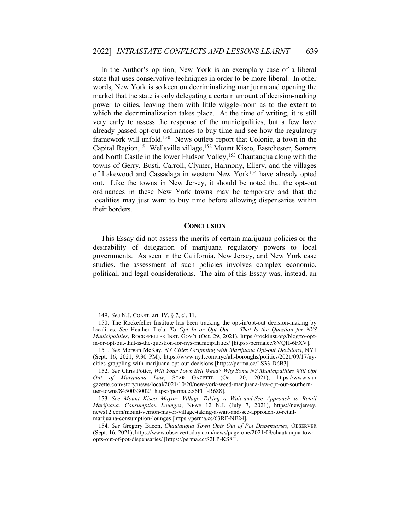In the Author's opinion, New York is an exemplary case of a liberal state that uses conservative techniques in order to be more liberal. In other words, New York is so keen on decriminalizing marijuana and opening the market that the state is only delegating a certain amount of decision-making power to cities, leaving them with little wiggle-room as to the extent to which the decriminalization takes place. At the time of writing, it is still very early to assess the response of the municipalities, but a few have already passed opt-out ordinances to buy time and see how the regulatory framework will unfold.<sup>150</sup> News outlets report that Colonie, a town in the Capital Region,<sup>151</sup> Wellsville village,<sup>152</sup> Mount Kisco, Eastchester, Somers and North Castle in the lower Hudson Valley,<sup>153</sup> Chautauqua along with the towns of Gerry, Busti, Carroll, Clymer, Harmony, Ellery, and the villages of Lakewood and Cassadaga in western New York<sup>154</sup> have already opted out. Like the towns in New Jersey, it should be noted that the opt-out ordinances in these New York towns may be temporary and that the localities may just want to buy time before allowing dispensaries within their borders.

#### **CONCLUSION**

This Essay did not assess the merits of certain marijuana policies or the desirability of delegation of marijuana regulatory powers to local governments. As seen in the California, New Jersey, and New York case studies, the assessment of such policies involves complex economic, political, and legal considerations. The aim of this Essay was, instead, an

 <sup>149.</sup> See N.J. CONST. art. IV, § 7, cl. 11.

 <sup>150.</sup> The Rockefeller Institute has been tracking the opt-in/opt-out decision-making by localities. See Heather Trela, To Opt In or Opt Out — That Is the Question for NYS Municipalities, ROCKEFELLER INST. GOV'T (Oct. 29, 2021), https://rockinst.org/blog/to-optin-or-opt-out-that-is-the-question-for-nys-municipalities/ [https://perma.cc/8VQH-6FXV].

<sup>151</sup>. See Morgan McKay, NY Cities Grappling with Marijuana Opt-out Decisions, NY1 (Sept. 16, 2021, 9:30 PM), https://www.ny1.com/nyc/all-boroughs/politics/2021/09/17/nycities-grappling-with-marijuana-opt-out-decisions [https://perma.cc/LS33-D6B3].

<sup>152</sup>. See Chris Potter, Will Your Town Sell Weed? Why Some NY Municipalities Will Opt Out of Marijuana Law, STAR GAZETTE (Oct. 20, 2021), https://www.star gazette.com/story/news/local/2021/10/20/new-york-weed-marijuana-law-opt-out-southerntier-towns/8450033002/ [https://perma.cc/6FLJ-R688].

<sup>153</sup>. See Mount Kisco Mayor: Village Taking a Wait-and-See Approach to Retail Marijuana, Consumption Lounges, NEWS 12 N.J. (July 7, 2021), https://newjersey. news12.com/mount-vernon-mayor-village-taking-a-wait-and-see-approach-to-retailmarijuana-consumption-lounges [https://perma.cc/63RF-NE24].

<sup>154</sup>. See Gregory Bacon, Chautauqua Town Opts Out of Pot Dispensaries, OBSERVER (Sept. 16, 2021), https://www.observertoday.com/news/page-one/2021/09/chautauqua-townopts-out-of-pot-dispensaries/ [https://perma.cc/S2LP-KS8J].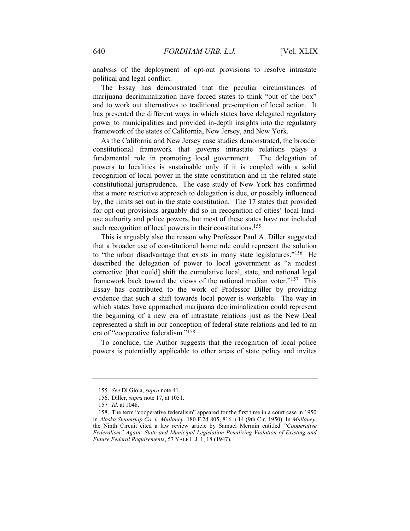analysis of the deployment of opt-out provisions to resolve intrastate political and legal conflict.

The Essay has demonstrated that the peculiar circumstances of marijuana decriminalization have forced states to think "out of the box" and to work out alternatives to traditional pre-emption of local action. It has presented the different ways in which states have delegated regulatory power to municipalities and provided in-depth insights into the regulatory framework of the states of California, New Jersey, and New York.

As the California and New Jersey case studies demonstrated, the broader constitutional framework that governs intrastate relations plays a fundamental role in promoting local government. The delegation of powers to localities is sustainable only if it is coupled with a solid recognition of local power in the state constitution and in the related state constitutional jurisprudence. The case study of New York has confirmed that a more restrictive approach to delegation is due, or possibly influenced by, the limits set out in the state constitution. The 17 states that provided for opt-out provisions arguably did so in recognition of cities' local landuse authority and police powers, but most of these states have not included such recognition of local powers in their constitutions.<sup>155</sup>

This is arguably also the reason why Professor Paul A. Diller suggested that a broader use of constitutional home rule could represent the solution to "the urban disadvantage that exists in many state legislatures."<sup>156</sup> He described the delegation of power to local government as "a modest corrective [that could] shift the cumulative local, state, and national legal framework back toward the views of the national median voter."<sup>157</sup> This Essay has contributed to the work of Professor Diller by providing evidence that such a shift towards local power is workable. The way in which states have approached marijuana decriminalization could represent the beginning of a new era of intrastate relations just as the New Deal represented a shift in our conception of federal-state relations and led to an era of "cooperative federalism."<sup>158</sup>

To conclude, the Author suggests that the recognition of local police powers is potentially applicable to other areas of state policy and invites

<sup>155</sup>. See Di Gioia, supra note 41.

 <sup>156.</sup> Diller, supra note 17, at 1051.

<sup>157</sup>. Id. at 1048.

 <sup>158.</sup> The term "cooperative federalism" appeared for the first time in a court case in 1950 in Alaska Steamship Co. v. Mullaney. 180 F.2d 805, 816 n.14 (9th Cir. 1950). In Mullaney, the Ninth Circuit cited a law review article by Samuel Mermin entitled "Cooperative Federalism" Again: State and Municipal Legislation Penalizing Violation of Existing and Future Federal Requirements, 57 YALE L.J. 1, 18 (1947).